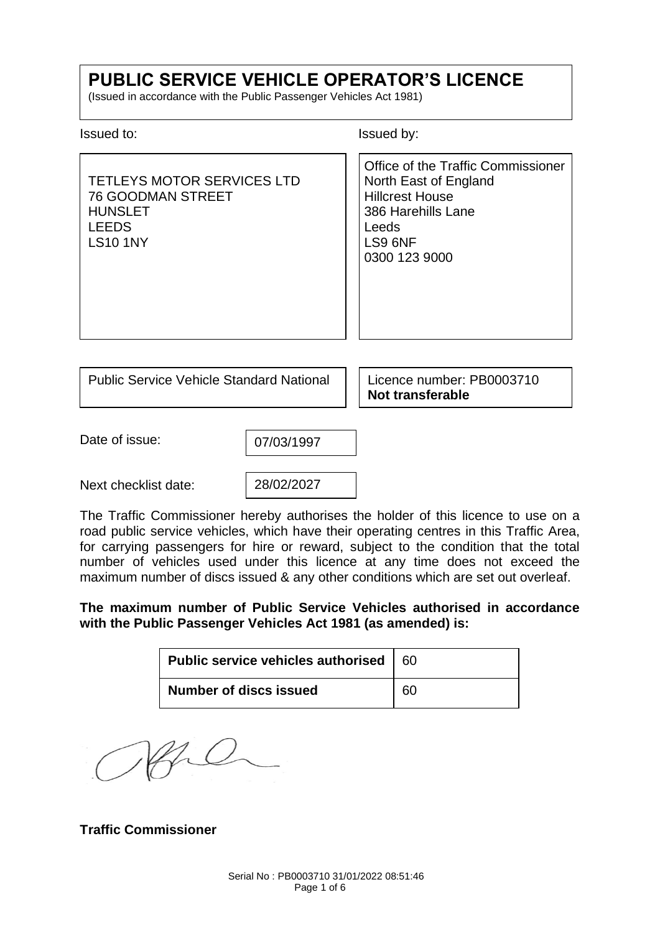# **PUBLIC SERVICE VEHICLE OPERATOR'S LICENCE**

(Issued in accordance with the Public Passenger Vehicles Act 1981)

Issued to: Issued by:

TETLEYS MOTOR SERVICES LTD 76 GOODMAN STREET **HUNSLET** LEEDS LS10 1NY Office of the Traffic Commissioner North East of England Hillcrest House 386 Harehills Lane Leeds LS9 6NF 0300 123 9000

Public Service Vehicle Standard National | Licence number: PB0003710

**Not transferable**

Date of issue:

07/03/1997

Next checklist date:

28/02/2027

The Traffic Commissioner hereby authorises the holder of this licence to use on a road public service vehicles, which have their operating centres in this Traffic Area, for carrying passengers for hire or reward, subject to the condition that the total number of vehicles used under this licence at any time does not exceed the maximum number of discs issued & any other conditions which are set out overleaf.

## **The maximum number of Public Service Vehicles authorised in accordance with the Public Passenger Vehicles Act 1981 (as amended) is:**

| Public service vehicles authorised $\vert$ 60 |  |
|-----------------------------------------------|--|
| <b>Number of discs issued</b>                 |  |

Afre

**Traffic Commissioner**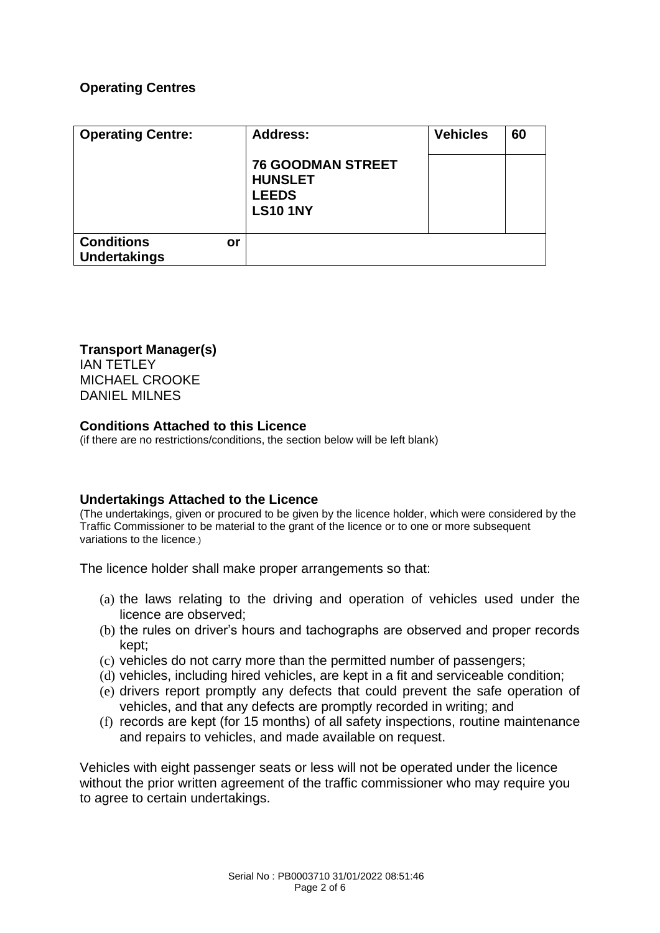## **Operating Centres**

| <b>Operating Centre:</b>                       | <b>Address:</b><br><b>76 GOODMAN STREET</b><br><b>HUNSLET</b><br><b>LEEDS</b> | <b>Vehicles</b> | 60 |
|------------------------------------------------|-------------------------------------------------------------------------------|-----------------|----|
|                                                | <b>LS10 1NY</b>                                                               |                 |    |
| <b>Conditions</b><br>or<br><b>Undertakings</b> |                                                                               |                 |    |

**Transport Manager(s)**

IAN TETLEY MICHAEL CROOKE DANIEL MILNES

#### **Conditions Attached to this Licence**

(if there are no restrictions/conditions, the section below will be left blank)

## **Undertakings Attached to the Licence**

(The undertakings, given or procured to be given by the licence holder, which were considered by the Traffic Commissioner to be material to the grant of the licence or to one or more subsequent variations to the licence.)

The licence holder shall make proper arrangements so that:

- (a) the laws relating to the driving and operation of vehicles used under the licence are observed;
- (b) the rules on driver's hours and tachographs are observed and proper records kept;
- (c) vehicles do not carry more than the permitted number of passengers;
- (d) vehicles, including hired vehicles, are kept in a fit and serviceable condition;
- (e) drivers report promptly any defects that could prevent the safe operation of vehicles, and that any defects are promptly recorded in writing; and
- (f) records are kept (for 15 months) of all safety inspections, routine maintenance and repairs to vehicles, and made available on request.

Vehicles with eight passenger seats or less will not be operated under the licence without the prior written agreement of the traffic commissioner who may require you to agree to certain undertakings.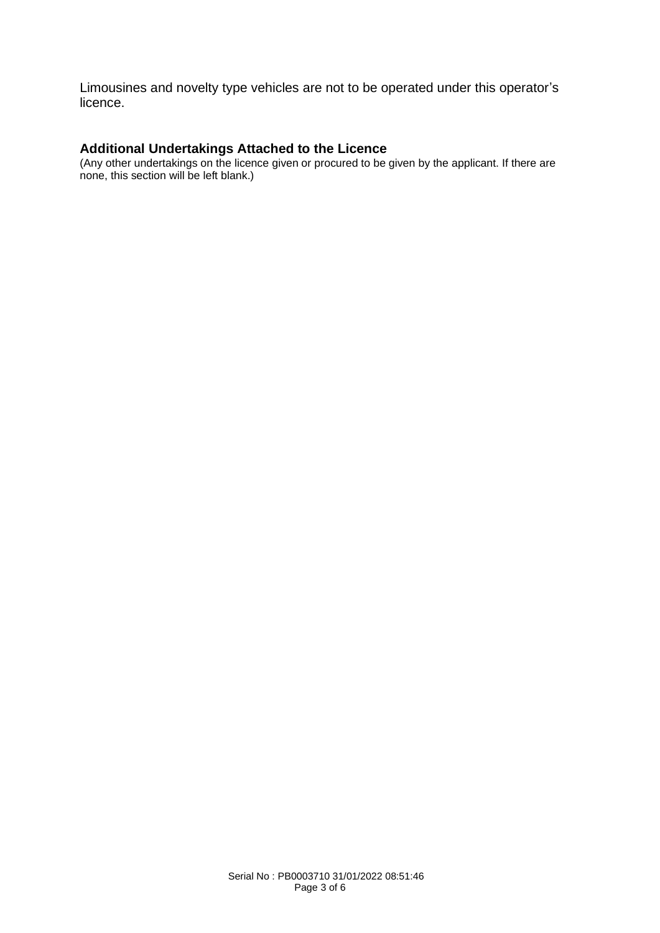Limousines and novelty type vehicles are not to be operated under this operator's licence.

# **Additional Undertakings Attached to the Licence**

(Any other undertakings on the licence given or procured to be given by the applicant. If there are none, this section will be left blank.)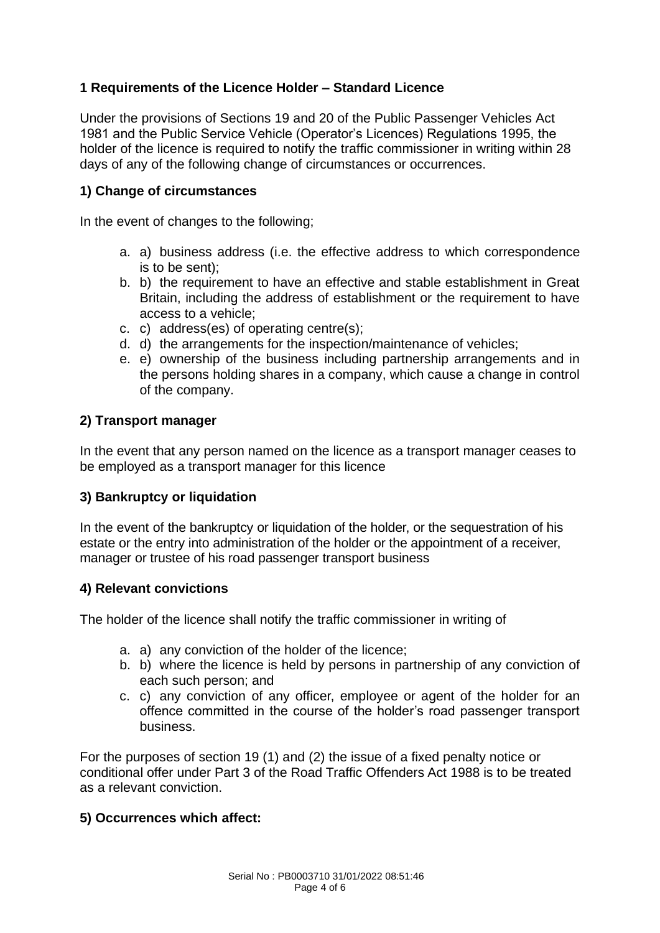# **1 Requirements of the Licence Holder – Standard Licence**

Under the provisions of Sections 19 and 20 of the Public Passenger Vehicles Act 1981 and the Public Service Vehicle (Operator's Licences) Regulations 1995, the holder of the licence is required to notify the traffic commissioner in writing within 28 days of any of the following change of circumstances or occurrences.

## **1) Change of circumstances**

In the event of changes to the following;

- a. a) business address (i.e. the effective address to which correspondence is to be sent);
- b. b) the requirement to have an effective and stable establishment in Great Britain, including the address of establishment or the requirement to have access to a vehicle;
- c. c) address(es) of operating centre(s);
- d. d) the arrangements for the inspection/maintenance of vehicles;
- e. e) ownership of the business including partnership arrangements and in the persons holding shares in a company, which cause a change in control of the company.

## **2) Transport manager**

In the event that any person named on the licence as a transport manager ceases to be employed as a transport manager for this licence

## **3) Bankruptcy or liquidation**

In the event of the bankruptcy or liquidation of the holder, or the sequestration of his estate or the entry into administration of the holder or the appointment of a receiver, manager or trustee of his road passenger transport business

## **4) Relevant convictions**

The holder of the licence shall notify the traffic commissioner in writing of

- a. a) any conviction of the holder of the licence;
- b. b) where the licence is held by persons in partnership of any conviction of each such person; and
- c. c) any conviction of any officer, employee or agent of the holder for an offence committed in the course of the holder's road passenger transport business.

For the purposes of section 19 (1) and (2) the issue of a fixed penalty notice or conditional offer under Part 3 of the Road Traffic Offenders Act 1988 is to be treated as a relevant conviction.

## **5) Occurrences which affect:**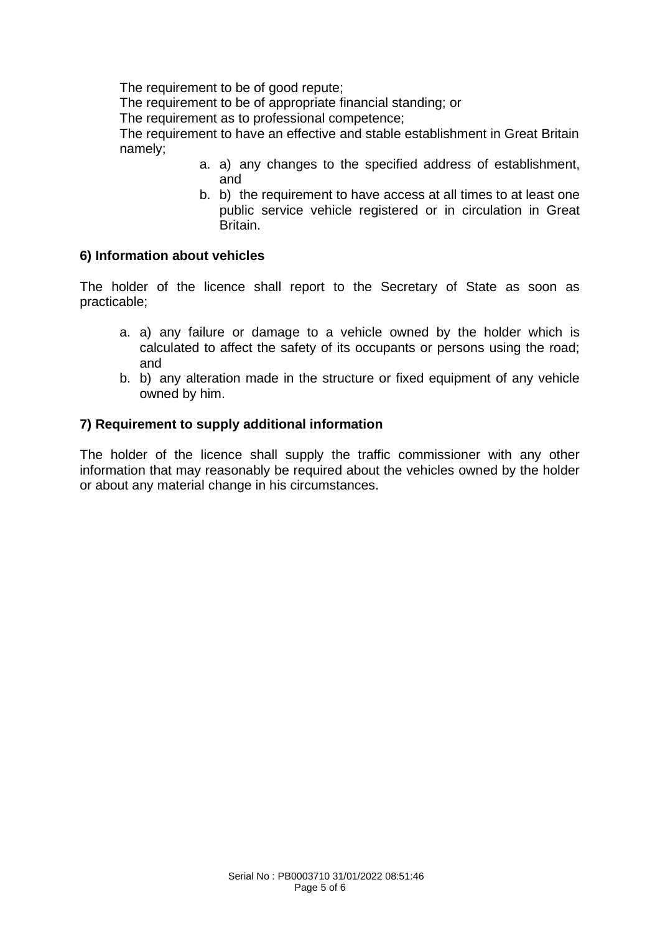The requirement to be of good repute;

The requirement to be of appropriate financial standing; or

The requirement as to professional competence;

The requirement to have an effective and stable establishment in Great Britain namely;

- a. a) any changes to the specified address of establishment, and
- b. b) the requirement to have access at all times to at least one public service vehicle registered or in circulation in Great Britain.

## **6) Information about vehicles**

The holder of the licence shall report to the Secretary of State as soon as practicable;

- a. a) any failure or damage to a vehicle owned by the holder which is calculated to affect the safety of its occupants or persons using the road; and
- b. b) any alteration made in the structure or fixed equipment of any vehicle owned by him.

#### **7) Requirement to supply additional information**

The holder of the licence shall supply the traffic commissioner with any other information that may reasonably be required about the vehicles owned by the holder or about any material change in his circumstances.